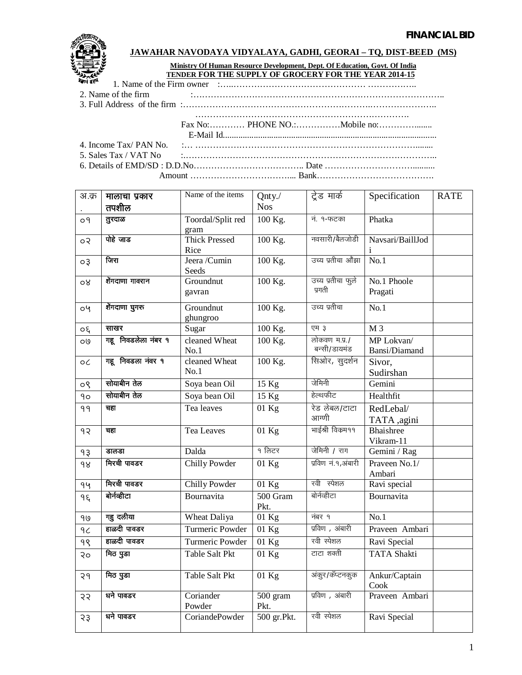

## **JAWAHAR NAVODAYA VIDYALAYA, GADHI, GEORAI – TQ, DIST-BEED (MS)**

## **Ministry Of Human Resource Development, Dept. Of Education, Govt. Of India TENDER FOR THE SUPPLY OF GROCERY FOR THE YEAR 2014-15**

1. Name of the Firm owner :…..……………………………………… ……………..

2. Name of the firm :…………………………………………………………………………..

3. Full Address of the firm :……………………………………………………….…………………..

………………………………………………………………. Fax No:………… PHONE NO.:……………Mobile no:…………........ E-Mail Id................................................................................................. 4. Income Tax/ PAN No. :… …………………………………………………………………........ 5. Sales Tax / VAT No :.………………………………………………………………………….. 6. Details of EMD/SD : D.D.No……………………………….. Date ………………………….......... Amount …………………………….... Bank………………………………….

| अ.क्र     | मालाचा प्रकार<br>तपशील | Name of the items            | Qnty./<br><b>Nos</b> | ट्रेड मार्क                   | Specification               | <b>RATE</b> |
|-----------|------------------------|------------------------------|----------------------|-------------------------------|-----------------------------|-------------|
| 09        | तुरदाळ                 | Toordal/Split red<br>gram    | 100 Kg.              | नं. १-फटका                    | Phatka                      |             |
| ०२        | पोहे जाड               | <b>Thick Pressed</b><br>Rice | 100 Kg.              | नवसारी/बैलजोडी                | Navsari/BaillJod            |             |
| $\circ$ 3 | जिरा                   | Jeera /Cumin<br>Seeds        | 100 Kg.              | उच्य प्रतीचा औंझा             | No.1                        |             |
| ०४        | शैंगदाणा गावरान        | Groundnut<br>gavran          | 100 Kg.              | उच्य प्रतीचा फुले<br>प्रगती   | No.1 Phoole<br>Pragati      |             |
| oy        | शेंगदाणा घुगरु         | Groundnut<br>ghungroo        | 100 Kg.              | उच्य प्रतीचा                  | No.1                        |             |
| 50        | साखर                   | Sugar                        | 100 Kg.              | एम ३                          | M <sub>3</sub>              |             |
| 09        | गहू निवडलेला नंबर १    | cleaned Wheat<br>No.1        | 100 Kg.              | लोकवण म.प्र./<br>बन्सी/डायमंड | MP Lokvan/<br>Bansi/Diamand |             |
| οC        | गहू निवडला नंवर १      | cleaned Wheat<br>No.1        | 100 Kg.              | सिओर, सुदर्शन                 | Sivor,<br>Sudirshan         |             |
| ०९        | सोयाबीन तेल            | Soya bean Oil                | $15$ Kg              | जेमिनी                        | Gemini                      |             |
| 90        | सोयाबीन तेल            | Soya bean Oil                | $15$ Kg              | हेल्थफीट                      | Healthfit                   |             |
| 99        | चहा                    | Tea leaves                   | $01$ Kg              | रेड लेबल/टाटा<br>आग्णी        | RedLebal/<br>TATA ,agini    |             |
| 92        | चहा                    | Tea Leaves                   | $01$ Kg              | भाईश्री विकम99                | Bhaishree<br>Vikram-11      |             |
| 93        | डालडा                  | Dalda                        | १ लिटर               | जेमिनी / राग                  | Gemini / Rag                |             |
| 98        | मिरची पावडर            | <b>Chilly Powder</b>         | $01$ Kg              | प्रविण नं.१,अंबारी            | Praveen No.1/<br>Ambari     |             |
| 94        | मिरची पावडर            | <b>Chilly Powder</b>         | $01$ Kg              | रवी स्पेशल                    | Ravi special                |             |
| ۹ξ        | बोर्नव्हीटा            | Bournavita                   | 500 Gram<br>Pkt.     | बोर्नव्हीटा                   | Bournavita                  |             |
| 90        | गहु दलीया              | Wheat Daliya                 | $01$ Kg              | नंबर १                        | No.1                        |             |
| 9<        | हाळदी पावडर            | <b>Turmeric Powder</b>       | $01$ Kg              | प्रविण , अंबारी               | Praveen Ambari              |             |
| 98        | हाळदी पावडर            | Turmeric Powder              | $01$ Kg              | रवी स्पेशल                    | Ravi Special                |             |
| २०        | मिठ पुडा               | <b>Table Salt Pkt</b>        | $01$ Kg              | टाटा शक्ती                    | <b>TATA Shakti</b>          |             |
| 29        | मिठ पुडा               | Table Salt Pkt               | $01$ Kg              | अंकुर/कॅप्टनकुक               | Ankur/Captain<br>Cook       |             |
| २२        | धने पावडर              | Coriander<br>Powder          | 500 gram<br>Pkt.     | प्रविण , अंबारी               | Praveen Ambari              |             |
| २३        | धने पावडर              | CoriandePowder               | 500 gr.Pkt.          | रवी स्पेशल                    | Ravi Special                |             |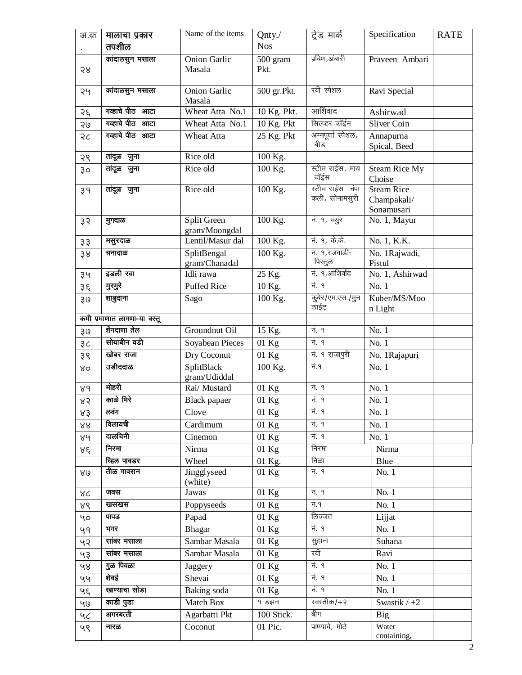| अ.क्र | मालाचा प्रकार<br>तपशील      | Name of the items             | Qnty./<br><b>Nos</b> | ट्रेड मार्क                       | Specification                                  | <b>RATE</b> |
|-------|-----------------------------|-------------------------------|----------------------|-----------------------------------|------------------------------------------------|-------------|
|       | कांदालसुन मसाला             | <b>Onion Garlic</b>           |                      | प्रविण,अंबारी                     |                                                |             |
| २४    |                             | Masala                        | 500 gram<br>Pkt.     |                                   | Praveen Ambari                                 |             |
| २५    | कांदालसुन मसाला             | <b>Onion Garlic</b><br>Masala | 500 gr.Pkt.          | रवी स्पेशल                        | Ravi Special                                   |             |
| २६    | गव्हाचे पीठ आटा             | Wheat Atta No.1               | 10 Kg. Pkt.          | आर्शिवाद                          | Ashirwad                                       |             |
| २७    | गव्हाचे पीठ आटा             | Wheat Atta No.1               | $10$ Kg. Pkt         | सिल्व्हर कॉईन                     | <b>Sliver Coin</b>                             |             |
| २८    | गव्हाचे पीठ आटा             | Wheat Atta                    | 25 Kg. Pkt           | अन्नपूर्णा स्पेशल,<br>बीड         | Annapurna<br>Spical, Beed                      |             |
| २९    | तांदूळ जुना                 | Rice old                      | 100 Kg.              |                                   |                                                |             |
| 30    | तांदूळ जुना                 | Rice old                      | 100 Kg.              | स्टीम राईस, माय<br>चॉईस           | Steam Rice My<br>Choise                        |             |
| 39    | तांदूळ जुना                 | Rice old                      | 100 Kg.              | स्टीम राईस चंपा<br>कली, सोनामसुरी | <b>Steam Rice</b><br>Champakali/<br>Sonamusari |             |
| ३२    | मुगदाळ                      | Split Green<br>gram/Moongdal  | 100 Kg.              | नं. १, मयुर                       | No. 1, Mayur                                   |             |
| 33    | मसुरदाळ                     | Lentil/Masur dal              | 100 Kg.              | <u>नं. १, के.के.</u>              | No. 1, K.K.                                    |             |
| 38    | चनादाळ                      | SplitBengal<br>gram/Chanadal  | 100 Kg.              | न. १,रजवाडी-<br>पिस्तुल           | No. 1Rajwadi,<br>Pistul                        |             |
| ३५    | इडली रवा                    | Idli rawa                     | 25 Kg.               | नं. १,आशिर्वाद                    | No. 1, Ashirwad                                |             |
| ३६    | मुरमुरे                     | <b>Puffed Rice</b>            | 10 Kg.               | नं. १                             | No.1                                           |             |
| ३७    | शाबुदाना                    | Sago                          | 100 Kg.              | कुबेर/एम.एस./मुन<br>लाईट          | Kuber/MS/Moo<br>n Light                        |             |
|       | कमी प्रमाणात लागणा-या वस्तू |                               |                      |                                   |                                                |             |
| ३७    | शेंगदाणा तेल                | Groundnut Oil                 | 15 Kg.               | नं. १                             | No. 1                                          |             |
| 3<    | सोयाबीन वडी                 | Soyabean Pieces               | $01$ Kg              | नं. १                             | No. 1                                          |             |
| ३९    | खोबर राजा                   | Dry Coconut                   | $01$ Kg              | नं. १ राजापुरी                    | No. 1Rajapuri                                  |             |
| ४०    | उडीददाळ                     | SplitBlack<br>gram/Udiddal    | 100 Kg.              | नं.१                              | No. 1                                          |             |
| 89    | मोहरी                       | Rai/ Mustard                  | 01 Kg                | नं. १                             | No. 1                                          |             |
| ४२    | काळे मिरे                   | <b>Black</b> papaer           | $01$ Kg              | नं. १                             | No.1                                           |             |
| ४३    | लवग                         | Clove                         | $01\ \mathrm{Kg}$    | न. १                              | $\overline{\text{No.}}$ 1                      |             |
| 88    | विलायची                     | Cardimum                      | $01$ Kg              | नं. १                             | No. 1                                          |             |
| ४५    | दालचिनी                     | Cinemon                       | $01$ Kg              | नं. १                             | No. 1                                          |             |
| ४६    | निरमा                       | Nirma                         | $01$ Kg              | निरमा                             | Nirma                                          |             |
|       | व्हिल पावडर<br>तीळ गावरान   | Wheel<br>Jingglyseed          | 01 Kg.<br>01 Kg      | निळा<br>न. १                      | Blue<br>No. 1                                  |             |
| ४७    |                             | (white)                       |                      |                                   |                                                |             |
| ४८    | जवस                         | Jawas                         | 01 Kg                | न. १                              | No. 1                                          |             |
| ४९    | खसखस                        | Poppyseeds                    | 01 Kg                | नं.१                              | No. 1                                          |             |
| 40    | पापड                        | Papad                         | 01 Kg                | लिज्जत                            | Lijjat                                         |             |
| 49    | भगर                         | Bhagar                        | $01$ Kg              | नं. १                             | No. 1                                          |             |
| ५२    | सांबर मसाला                 | Sambar Masala                 | $01$ Kg              | सुहाना                            | Suhana                                         |             |
| ५३    | सांबर मसाला                 | Sambar Masala                 | $01$ Kg              | रवी                               | Ravi                                           |             |
| ५४    | गुळ पिवळा                   | Jaggery                       | $01$ Kg              | नं. १                             | No. 1                                          |             |
| ५५    | शेवई                        | Shevai                        | $01$ Kg              | नं. १                             | No. 1                                          |             |
| ५६    | खाण्याचा सोडा               | Baking soda                   | $01$ Kg              | नं. १                             | No. 1                                          |             |
| 40    | काडी पुडा                   | Match Box                     | १ डझन                | स्वस्तीक/+२                       | Swastik $/ +2$                                 |             |
| 4<    | अगरबत्ती                    | Agarbatti Pkt                 | 100 Stick.           | बीग                               | <b>Big</b>                                     |             |
| ५९    | नारळ                        | Coconut                       | 01 Pic.              | पाण्याचे, मोठे                    | Water<br>containing,                           |             |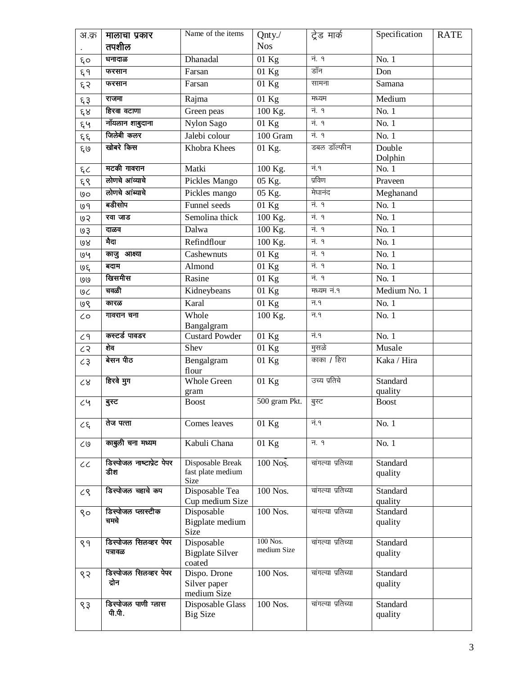| अ.क्र          | मालाचा प्रकार                    | Name of the items                              | Qnty./                  | ट्रेड मार्क        | Specification       | <b>RATE</b> |
|----------------|----------------------------------|------------------------------------------------|-------------------------|--------------------|---------------------|-------------|
|                | तपशील                            |                                                | <b>Nos</b>              |                    |                     |             |
| ξo             | धनादाळ                           | Dhanadal                                       | 01 Kg                   | नं. १              | No. 1               |             |
| ξ۹             | फरसान                            | Farsan                                         | $01$ Kg                 | डॉन                | Don                 |             |
| ६२             | फरसान                            | Farsan                                         | $01$ Kg                 | सामना              | Samana              |             |
| ६३             | राजमा                            | Rajma                                          | $01$ Kg                 | मध्यम              | Medium              |             |
| ६४             | हिरवा वटाणा                      | Green peas                                     | 100 Kg.                 | नं. १              | No.1                |             |
| ६५             | नॉयलान शाबुदाना                  | Nylon Sago                                     | $01$ Kg                 | नं. १              | No. 1               |             |
| $\xi$          | जिलेबी कलर                       | Jalebi colour                                  | 100 Gram                | <u>नं. १</u>       | No. 1               |             |
| ६७             | खोबरे किस                        | Khobra Khees                                   | 01 Kg.                  | डबल डॉल्फीन        | Double              |             |
|                | मटकी गावरान                      | Matki                                          |                         | नं.१               | Dolphin<br>No. 1    |             |
| ξC             | लोणचे आव्याचे                    |                                                | 100 Kg.                 | प्रविण             |                     |             |
| ६९             | लोणचे आंब्याचे                   | Pickles Mango                                  | 05 Kg.                  | मेघानंद            | Praveen             |             |
| 00             | बडीसोप                           | Pickles mango                                  | $05$ Kg.                |                    | Meghanand           |             |
| ७१             |                                  | Funnel seeds                                   | $01$ Kg                 | नं. १              | No. 1               |             |
| 65             | रवा जाड                          | Semolina thick                                 | 100 Kg.                 | नं. १              | No. 1               |             |
| ७३             | दाळव                             | Dalwa                                          | 100 Kg.                 | नं. १              | No. 1               |             |
| 68             | मैदा                             | Refindflour                                    | 100 Kg.                 | <u>नं. १</u>       | No. 1               |             |
| 194            | काजु आक्ष्या                     | Cashewnuts                                     | $01$ Kg                 | नं. १              | No. 1               |             |
| ७६             | बदाम                             | Almond                                         | $01$ Kg                 | नं. १              | No. 1               |             |
| ७७             | खिसमीस                           | Rasine                                         | 01 Kg                   | नं. १              | No. 1               |             |
| 96             | चवळी                             | Kidneybeans                                    | 01 Kg                   | मध्यम नं.१         | Medium No. 1        |             |
| ७९             | कारळ                             | Karal                                          | $\overline{01}$ Kg      | न.१                | No. 1               |             |
| $\zeta$        | गावरान चना                       | Whole<br>Bangalgram                            | 100 Kg.                 | न.१                | No. 1               |             |
| C9             | कस्टर्ड पावडर                    | <b>Custard Powder</b>                          | $01$ Kg                 | नं.१               | No.1                |             |
| c              | शेव                              | Shev                                           | $01$ Kg                 | मुसळे              | Musale              |             |
| $\zeta$        | बेसन पीठ                         | Bengalgram<br>flour                            | $01$ Kg                 | काका / हिरा        | Kaka / Hira         |             |
| ${\cal C}8$    | हिरवे मुग                        | <b>Whole Green</b>                             | $01$ Kg                 | उच्य प्रतिचे       | <b>Standard</b>     |             |
|                |                                  | gram                                           |                         |                    | quality             |             |
| c <sub>4</sub> | बुस्ट                            | <b>Boost</b>                                   | 500 gram Pkt.           | बुस्ट              | <b>Boost</b>        |             |
| $c\xi$         | तेज पत्ता                        | Comes leaves                                   | $01$ Kg                 | नं.१               | No. 1               |             |
| $\zeta$        | काबुली चना मध्यम                 | Kabuli Chana                                   | $01$ Kg                 | न. १               | No. 1               |             |
| $\cal{C}$      | डिस्पोजल नाष्टाप्रेट पेपर<br>डीश | Disposable Break<br>fast plate medium<br>Size  | $100$ Nos.              | चांगल्या प्रतिच्या | Standard<br>quality |             |
| $\zeta$        | डिस्पोजल चहाचे कप                | Disposable Tea<br>Cup medium Size              | 100 Nos.                | चांगल्या प्रतिच्या | Standard<br>quality |             |
| Sσ             | डिस्पोजल प्लास्टीक<br>चमचे       | Disposable<br>Bigplate medium<br>Size          | 100 Nos.                | चांगल्या प्रतिच्या | Standard<br>quality |             |
| ९१             | डिस्पोजल सिलव्हर पेपर<br>पत्रावळ | Disposable<br><b>Bigplate Silver</b><br>coated | 100 Nos.<br>medium Size | चांगल्या प्रतिच्या | Standard<br>quality |             |
| ९२             | डिस्पोजल सिलव्हर पेपर<br>द्रोन   | Dispo. Drone<br>Silver paper<br>medium Size    | 100 Nos.                | चांगल्या प्रतिच्या | Standard<br>quality |             |
| $\zeta$        | डिस्पोजल पाणी ग्लास<br>पी.पी.    | Disposable Glass<br><b>Big Size</b>            | 100 Nos.                | चांगल्या प्रतिच्या | Standard<br>quality |             |